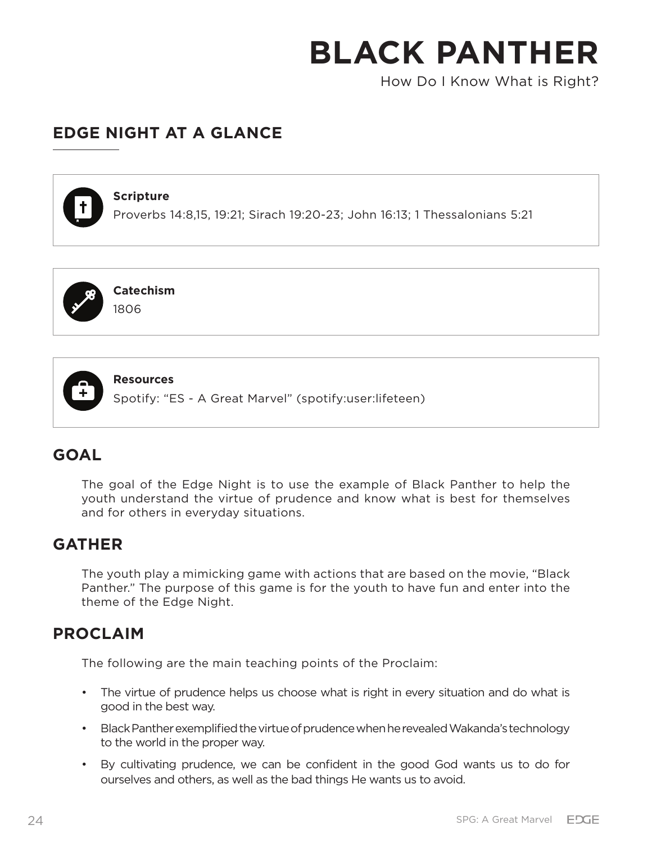How Do I Know What is Right?

# **EDGE NIGHT AT A GLANCE**



#### **Scripture**

Proverbs 14:8,15, 19:21; Sirach 19:20-23; John 16:13; 1 Thessalonians 5:21



**Catechism** 1806



**Resources**

Spotify: "ES - A Great Marvel" (spotify:user:lifeteen)

## **GOAL**

The goal of the Edge Night is to use the example of Black Panther to help the youth understand the virtue of prudence and know what is best for themselves and for others in everyday situations.

## **GATHER**

The youth play a mimicking game with actions that are based on the movie, "Black Panther." The purpose of this game is for the youth to have fun and enter into the theme of the Edge Night.

## **PROCLAIM**

The following are the main teaching points of the Proclaim:

- The virtue of prudence helps us choose what is right in every situation and do what is good in the best way.
- Black Panther exemplified the virtue of prudence when he revealed Wakanda's technology to the world in the proper way.
- By cultivating prudence, we can be confident in the good God wants us to do for ourselves and others, as well as the bad things He wants us to avoid.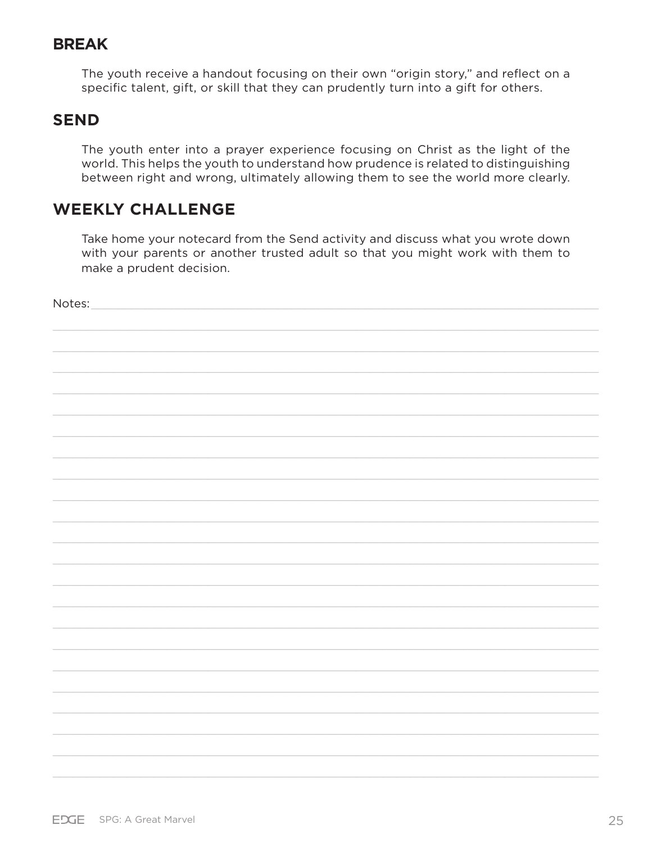## **BREAK**

The youth receive a handout focusing on their own "origin story," and reflect on a specific talent, gift, or skill that they can prudently turn into a gift for others.

## **SEND**

The youth enter into a prayer experience focusing on Christ as the light of the world. This helps the youth to understand how prudence is related to distinguishing between right and wrong, ultimately allowing them to see the world more clearly.

# **WEEKLY CHALLENGE**

Take home your notecard from the Send activity and discuss what you wrote down with your parents or another trusted adult so that you might work with them to make a prudent decision.

Notes: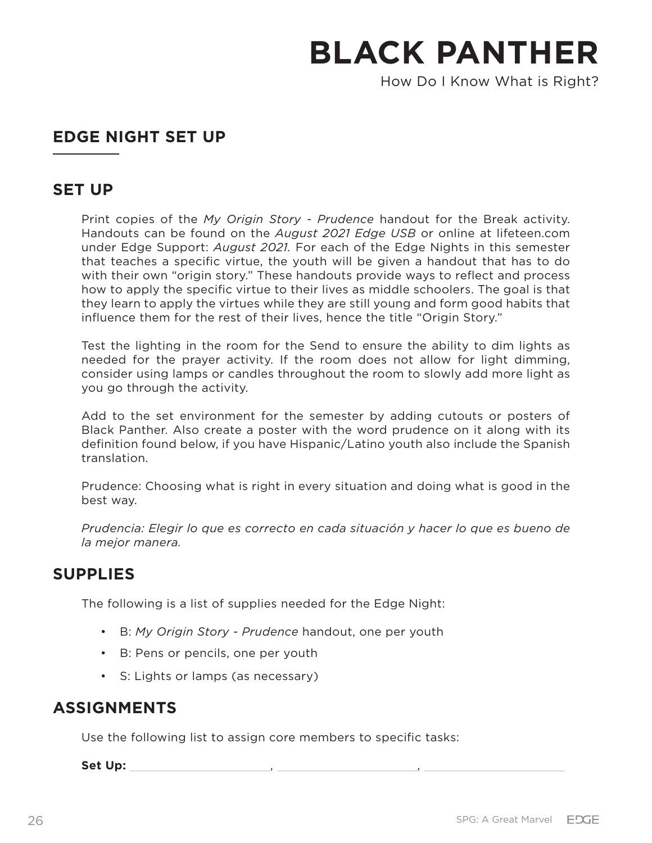How Do I Know What is Right?

## **EDGE NIGHT SET UP**

## **SET UP**

Print copies of the *My Origin Story - Prudence* handout for the Break activity. Handouts can be found on the *August 2021 Edge USB* or online at lifeteen.com under Edge Support: *August 2021.* For each of the Edge Nights in this semester that teaches a specific virtue, the youth will be given a handout that has to do with their own "origin story." These handouts provide ways to reflect and process how to apply the specific virtue to their lives as middle schoolers. The goal is that they learn to apply the virtues while they are still young and form good habits that influence them for the rest of their lives, hence the title "Origin Story."

Test the lighting in the room for the Send to ensure the ability to dim lights as needed for the prayer activity. If the room does not allow for light dimming, consider using lamps or candles throughout the room to slowly add more light as you go through the activity.

Add to the set environment for the semester by adding cutouts or posters of Black Panther. Also create a poster with the word prudence on it along with its definition found below, if you have Hispanic/Latino youth also include the Spanish translation.

Prudence: Choosing what is right in every situation and doing what is good in the best way.

*Prudencia: Elegir lo que es correcto en cada situación y hacer lo que es bueno de la mejor manera.*

## **SUPPLIES**

The following is a list of supplies needed for the Edge Night:

- B: *My Origin Story Prudence* handout, one per youth
- B: Pens or pencils, one per youth
- S: Lights or lamps (as necessary)

## **ASSIGNMENTS**

Use the following list to assign core members to specific tasks:

**Set Up:** \_\_\_\_\_\_\_\_\_\_\_\_\_\_\_\_\_\_\_\_\_, \_\_\_\_\_\_\_\_\_\_\_\_\_\_\_\_\_\_\_\_\_, \_\_\_\_\_\_\_\_\_\_\_\_\_\_\_\_\_\_\_\_\_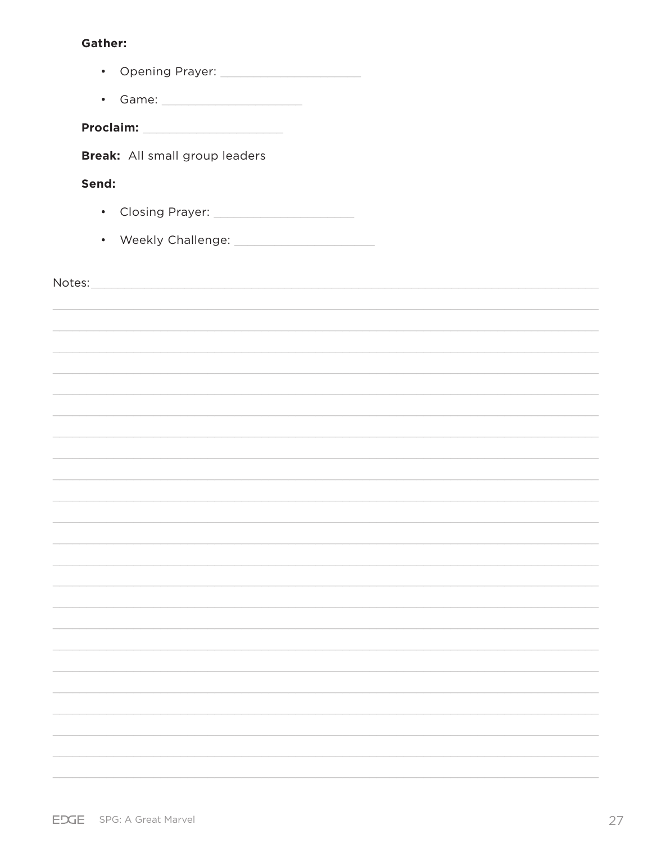## **Gather:**

|                                       | • Game: _______________________                                                                                       |  |
|---------------------------------------|-----------------------------------------------------------------------------------------------------------------------|--|
|                                       |                                                                                                                       |  |
| <b>Break:</b> All small group leaders |                                                                                                                       |  |
| Send:                                 |                                                                                                                       |  |
|                                       | Closing Prayer: 2008 Manuscript Prayer:                                                                               |  |
|                                       |                                                                                                                       |  |
|                                       |                                                                                                                       |  |
|                                       |                                                                                                                       |  |
|                                       | <u> 1989 - Johann John Stoff, amerikan besteht de stad in der stad in der stad in der stad in der stad in der sta</u> |  |
|                                       |                                                                                                                       |  |
|                                       |                                                                                                                       |  |
|                                       |                                                                                                                       |  |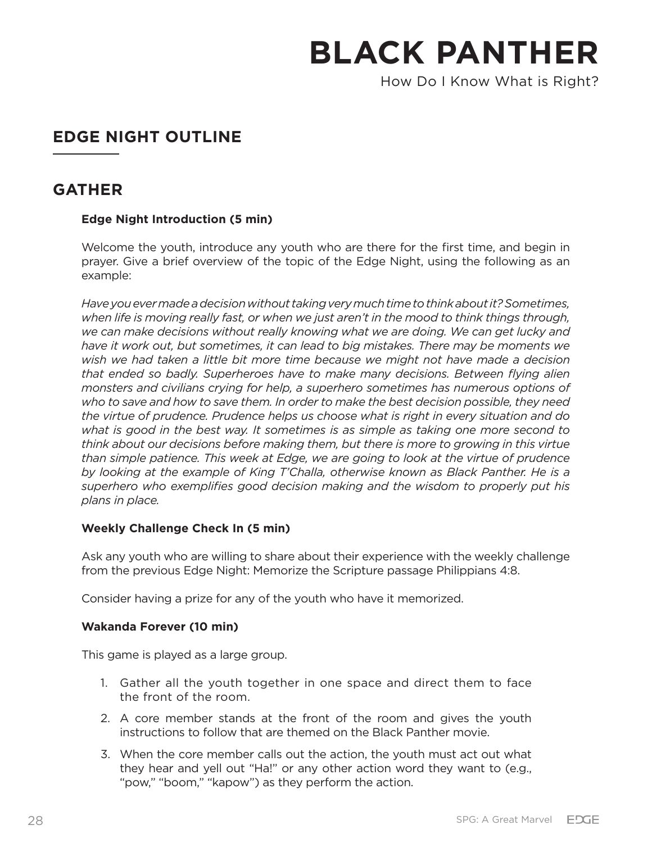How Do I Know What is Right?

# **EDGE NIGHT OUTLINE**

## **GATHER**

## **Edge Night Introduction (5 min)**

Welcome the youth, introduce any youth who are there for the first time, and begin in prayer. Give a brief overview of the topic of the Edge Night, using the following as an example:

*Have you ever made a decision without taking very much time to think about it? Sometimes, when life is moving really fast, or when we just aren't in the mood to think things through, we can make decisions without really knowing what we are doing. We can get lucky and have it work out, but sometimes, it can lead to big mistakes. There may be moments we wish we had taken a little bit more time because we might not have made a decision that ended so badly. Superheroes have to make many decisions. Between flying alien monsters and civilians crying for help, a superhero sometimes has numerous options of who to save and how to save them. In order to make the best decision possible, they need the virtue of prudence. Prudence helps us choose what is right in every situation and do what is good in the best way. It sometimes is as simple as taking one more second to think about our decisions before making them, but there is more to growing in this virtue than simple patience. This week at Edge, we are going to look at the virtue of prudence by looking at the example of King T'Challa, otherwise known as Black Panther. He is a superhero who exemplifies good decision making and the wisdom to properly put his plans in place.*

### **Weekly Challenge Check In (5 min)**

Ask any youth who are willing to share about their experience with the weekly challenge from the previous Edge Night: Memorize the Scripture passage Philippians 4:8.

Consider having a prize for any of the youth who have it memorized.

### **Wakanda Forever (10 min)**

This game is played as a large group.

- 1. Gather all the youth together in one space and direct them to face the front of the room.
- 2. A core member stands at the front of the room and gives the youth instructions to follow that are themed on the Black Panther movie.
- 3. When the core member calls out the action, the youth must act out what they hear and yell out "Ha!" or any other action word they want to (e.g., "pow," "boom," "kapow") as they perform the action.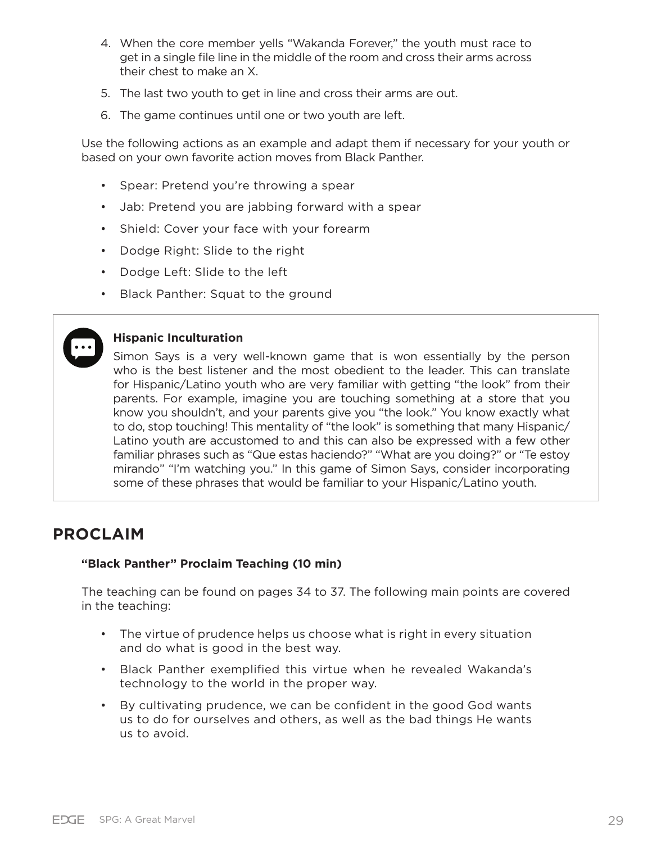- 4. When the core member yells "Wakanda Forever," the youth must race to get in a single file line in the middle of the room and cross their arms across their chest to make an X.
- 5. The last two youth to get in line and cross their arms are out.
- 6. The game continues until one or two youth are left.

Use the following actions as an example and adapt them if necessary for your youth or based on your own favorite action moves from Black Panther.

- Spear: Pretend you're throwing a spear
- Jab: Pretend you are jabbing forward with a spear
- Shield: Cover your face with your forearm
- Dodge Right: Slide to the right
- Dodge Left: Slide to the left
- Black Panther: Squat to the ground

#### **Hispanic Inculturation**

Simon Says is a very well-known game that is won essentially by the person who is the best listener and the most obedient to the leader. This can translate for Hispanic/Latino youth who are very familiar with getting "the look" from their parents. For example, imagine you are touching something at a store that you know you shouldn't, and your parents give you "the look." You know exactly what to do, stop touching! This mentality of "the look" is something that many Hispanic/ Latino youth are accustomed to and this can also be expressed with a few other familiar phrases such as "Que estas haciendo?" "What are you doing?" or "Te estoy mirando" "I'm watching you." In this game of Simon Says, consider incorporating some of these phrases that would be familiar to your Hispanic/Latino youth.

## **PROCLAIM**

#### **"Black Panther" Proclaim Teaching (10 min)**

The teaching can be found on pages 34 to 37. The following main points are covered in the teaching:

- The virtue of prudence helps us choose what is right in every situation and do what is good in the best way.
- Black Panther exemplified this virtue when he revealed Wakanda's technology to the world in the proper way.
- By cultivating prudence, we can be confident in the good God wants us to do for ourselves and others, as well as the bad things He wants us to avoid.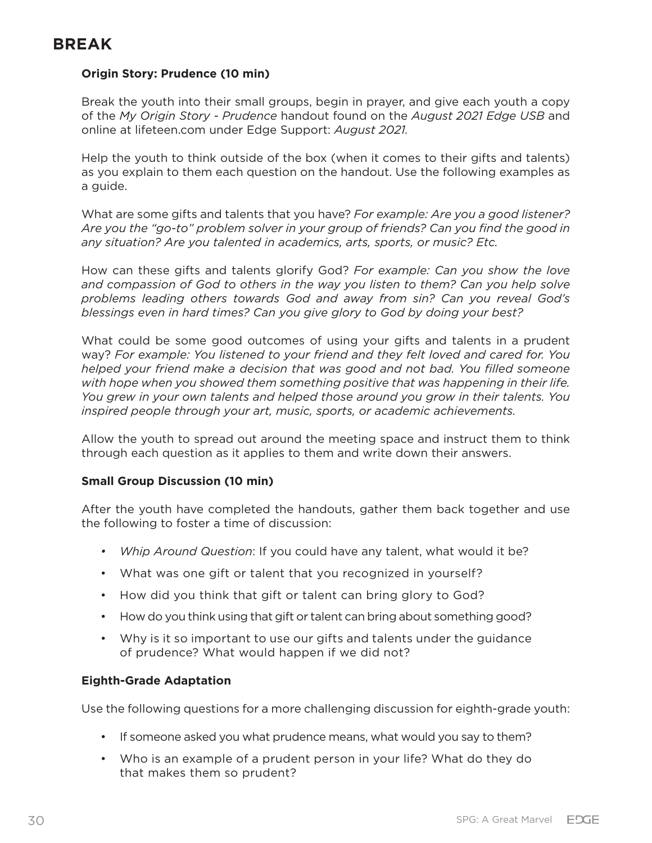## **BREAK**

### **Origin Story: Prudence (10 min)**

Break the youth into their small groups, begin in prayer, and give each youth a copy of the *My Origin Story - Prudence* handout found on the *August 2021 Edge USB* and online at lifeteen.com under Edge Support: *August 2021.*

Help the youth to think outside of the box (when it comes to their gifts and talents) as you explain to them each question on the handout. Use the following examples as a guide.

What are some gifts and talents that you have? *For example: Are you a good listener? Are you the "go-to" problem solver in your group of friends? Can you find the good in any situation? Are you talented in academics, arts, sports, or music? Etc.*

How can these gifts and talents glorify God? *For example: Can you show the love and compassion of God to others in the way you listen to them? Can you help solve problems leading others towards God and away from sin? Can you reveal God's blessings even in hard times? Can you give glory to God by doing your best?* 

What could be some good outcomes of using your gifts and talents in a prudent way? *For example: You listened to your friend and they felt loved and cared for. You helped your friend make a decision that was good and not bad. You filled someone with hope when you showed them something positive that was happening in their life. You grew in your own talents and helped those around you grow in their talents. You inspired people through your art, music, sports, or academic achievements.*

Allow the youth to spread out around the meeting space and instruct them to think through each question as it applies to them and write down their answers.

### **Small Group Discussion (10 min)**

After the youth have completed the handouts, gather them back together and use the following to foster a time of discussion:

- *• Whip Around Question*: If you could have any talent, what would it be?
- What was one gift or talent that you recognized in yourself?
- How did you think that gift or talent can bring glory to God?
- How do you think using that gift or talent can bring about something good?
- Why is it so important to use our gifts and talents under the guidance of prudence? What would happen if we did not?

### **Eighth-Grade Adaptation**

Use the following questions for a more challenging discussion for eighth-grade youth:

- If someone asked you what prudence means, what would you say to them?
- Who is an example of a prudent person in your life? What do they do that makes them so prudent?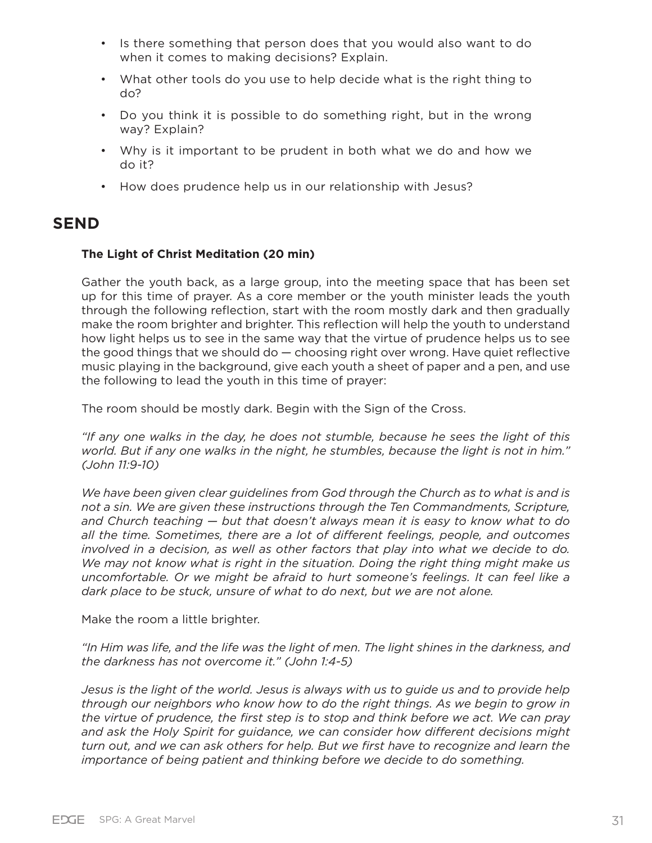- Is there something that person does that you would also want to do when it comes to making decisions? Explain.
- What other tools do you use to help decide what is the right thing to do?
- Do you think it is possible to do something right, but in the wrong way? Explain?
- Why is it important to be prudent in both what we do and how we do it?
- How does prudence help us in our relationship with Jesus?

## **SEND**

#### **The Light of Christ Meditation (20 min)**

Gather the youth back, as a large group, into the meeting space that has been set up for this time of prayer. As a core member or the youth minister leads the youth through the following reflection, start with the room mostly dark and then gradually make the room brighter and brighter. This reflection will help the youth to understand how light helps us to see in the same way that the virtue of prudence helps us to see the good things that we should  $do -$  choosing right over wrong. Have quiet reflective music playing in the background, give each youth a sheet of paper and a pen, and use the following to lead the youth in this time of prayer:

The room should be mostly dark. Begin with the Sign of the Cross.

*"If any one walks in the day, he does not stumble, because he sees the light of this world. But if any one walks in the night, he stumbles, because the light is not in him." (John 11:9-10)*

We have been given clear guidelines from God through the Church as to what is and is *not a sin. We are given these instructions through the Ten Commandments, Scripture, and Church teaching — but that doesn't always mean it is easy to know what to do all the time. Sometimes, there are a lot of different feelings, people, and outcomes involved in a decision, as well as other factors that play into what we decide to do. We may not know what is right in the situation. Doing the right thing might make us uncomfortable. Or we might be afraid to hurt someone's feelings. It can feel like a dark place to be stuck, unsure of what to do next, but we are not alone.* 

Make the room a little brighter.

*"In Him was life, and the life was the light of men. The light shines in the darkness, and the darkness has not overcome it." (John 1:4-5)*

*Jesus is the light of the world. Jesus is always with us to guide us and to provide help through our neighbors who know how to do the right things. As we begin to grow in the virtue of prudence, the first step is to stop and think before we act. We can pray and ask the Holy Spirit for guidance, we can consider how different decisions might turn out, and we can ask others for help. But we first have to recognize and learn the importance of being patient and thinking before we decide to do something.*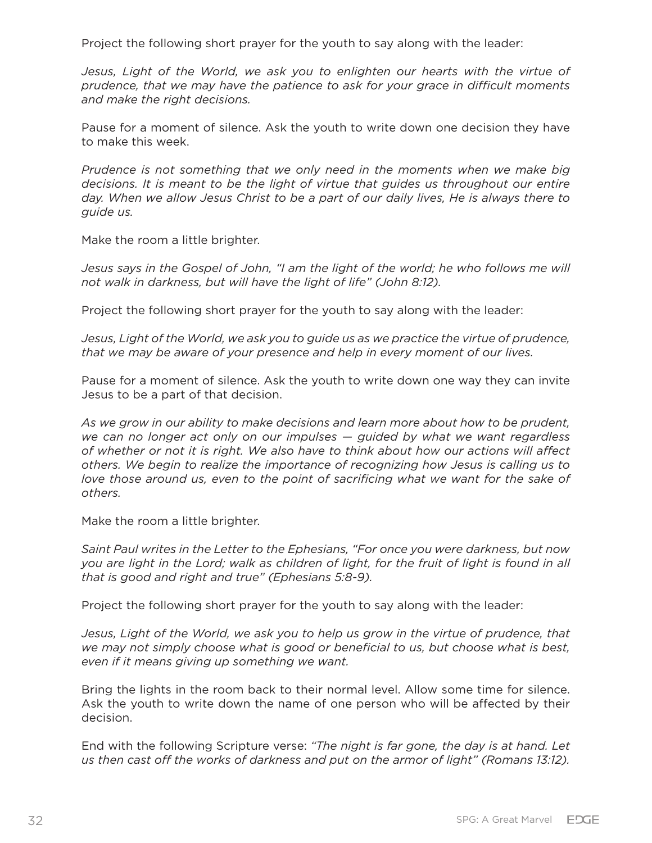Project the following short prayer for the youth to say along with the leader:

Jesus, Light of the World, we ask you to enlighten our hearts with the virtue of *prudence, that we may have the patience to ask for your grace in difficult moments and make the right decisions.*

Pause for a moment of silence. Ask the youth to write down one decision they have to make this week.

*Prudence is not something that we only need in the moments when we make big decisions. It is meant to be the light of virtue that guides us throughout our entire day. When we allow Jesus Christ to be a part of our daily lives, He is always there to guide us.* 

Make the room a little brighter.

*Jesus says in the Gospel of John, "I am the light of the world; he who follows me will not walk in darkness, but will have the light of life" (John 8:12).*

Project the following short prayer for the youth to say along with the leader:

*Jesus, Light of the World, we ask you to guide us as we practice the virtue of prudence, that we may be aware of your presence and help in every moment of our lives.*

Pause for a moment of silence. Ask the youth to write down one way they can invite Jesus to be a part of that decision.

*As we grow in our ability to make decisions and learn more about how to be prudent, we can no longer act only on our impulses — guided by what we want regardless of whether or not it is right. We also have to think about how our actions will affect others. We begin to realize the importance of recognizing how Jesus is calling us to love those around us, even to the point of sacrificing what we want for the sake of others.*

Make the room a little brighter.

*Saint Paul writes in the Letter to the Ephesians, "For once you were darkness, but now you are light in the Lord; walk as children of light, for the fruit of light is found in all that is good and right and true" (Ephesians 5:8-9).*

Project the following short prayer for the youth to say along with the leader:

*Jesus, Light of the World, we ask you to help us grow in the virtue of prudence, that we may not simply choose what is good or beneficial to us, but choose what is best, even if it means giving up something we want.*

Bring the lights in the room back to their normal level. Allow some time for silence. Ask the youth to write down the name of one person who will be affected by their decision.

End with the following Scripture verse: *"The night is far gone, the day is at hand. Let us then cast off the works of darkness and put on the armor of light" (Romans 13:12).*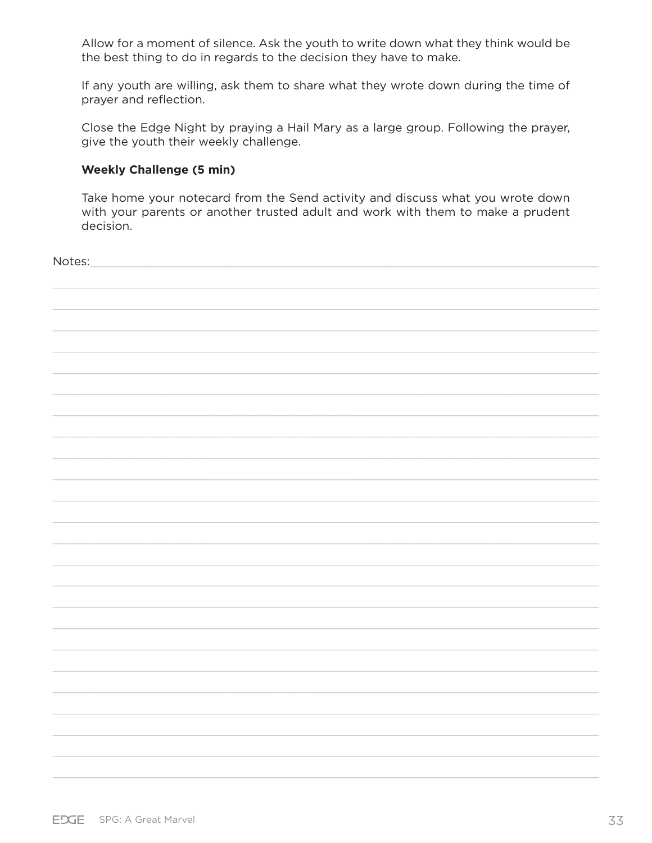Allow for a moment of silence. Ask the youth to write down what they think would be the best thing to do in regards to the decision they have to make.

If any youth are willing, ask them to share what they wrote down during the time of prayer and reflection.

Close the Edge Night by praying a Hail Mary as a large group. Following the prayer, give the youth their weekly challenge.

#### **Weekly Challenge (5 min)**

Take home your notecard from the Send activity and discuss what you wrote down with your parents or another trusted adult and work with them to make a prudent decision.

| Notes: |  |
|--------|--|
|        |  |
|        |  |
|        |  |
|        |  |
|        |  |
|        |  |
|        |  |
|        |  |
|        |  |
|        |  |
|        |  |
|        |  |
|        |  |
|        |  |
|        |  |
|        |  |
|        |  |
|        |  |
|        |  |
|        |  |
|        |  |
|        |  |
|        |  |
|        |  |
|        |  |
|        |  |
|        |  |
|        |  |
|        |  |
|        |  |
|        |  |
|        |  |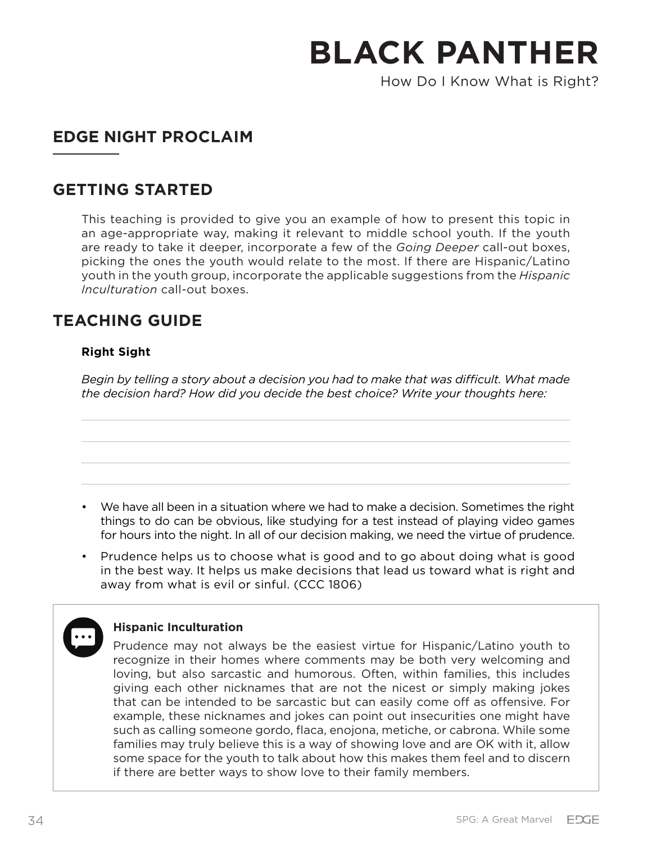How Do I Know What is Right?

## **EDGE NIGHT PROCLAIM**

## **GETTING STARTED**

This teaching is provided to give you an example of how to present this topic in an age-appropriate way, making it relevant to middle school youth. If the youth are ready to take it deeper, incorporate a few of the *Going Deeper* call-out boxes, picking the ones the youth would relate to the most. If there are Hispanic/Latino youth in the youth group, incorporate the applicable suggestions from the *Hispanic Inculturation* call-out boxes.

## **TEACHING GUIDE**

## **Right Sight**

*Begin by telling a story about a decision you had to make that was difficult. What made the decision hard? How did you decide the best choice? Write your thoughts here:*

- We have all been in a situation where we had to make a decision. Sometimes the right things to do can be obvious, like studying for a test instead of playing video games for hours into the night. In all of our decision making, we need the virtue of prudence.
- Prudence helps us to choose what is good and to go about doing what is good in the best way. It helps us make decisions that lead us toward what is right and away from what is evil or sinful. (CCC 1806)

### **Hispanic Inculturation**

Prudence may not always be the easiest virtue for Hispanic/Latino youth to recognize in their homes where comments may be both very welcoming and loving, but also sarcastic and humorous. Often, within families, this includes giving each other nicknames that are not the nicest or simply making jokes that can be intended to be sarcastic but can easily come off as offensive. For example, these nicknames and jokes can point out insecurities one might have such as calling someone gordo, flaca, enojona, metiche, or cabrona. While some families may truly believe this is a way of showing love and are OK with it, allow some space for the youth to talk about how this makes them feel and to discern if there are better ways to show love to their family members.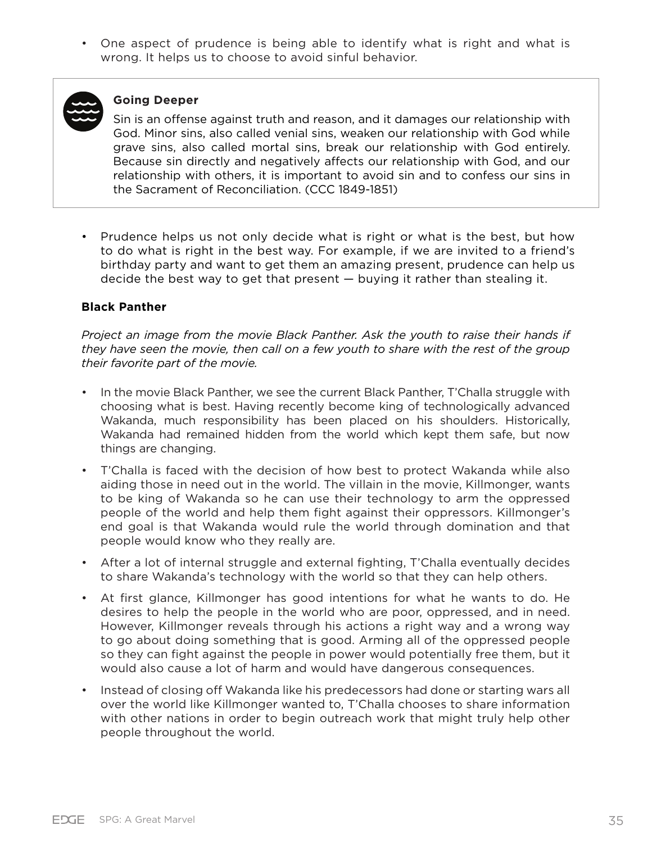• One aspect of prudence is being able to identify what is right and what is wrong. It helps us to choose to avoid sinful behavior.



#### **Going Deeper**

Sin is an offense against truth and reason, and it damages our relationship with God. Minor sins, also called venial sins, weaken our relationship with God while grave sins, also called mortal sins, break our relationship with God entirely. Because sin directly and negatively affects our relationship with God, and our relationship with others, it is important to avoid sin and to confess our sins in the Sacrament of Reconciliation. (CCC 1849-1851)

• Prudence helps us not only decide what is right or what is the best, but how to do what is right in the best way. For example, if we are invited to a friend's birthday party and want to get them an amazing present, prudence can help us decide the best way to get that present — buying it rather than stealing it.

#### **Black Panther**

*Project an image from the movie Black Panther. Ask the youth to raise their hands if they have seen the movie, then call on a few youth to share with the rest of the group their favorite part of the movie.*

- In the movie Black Panther, we see the current Black Panther, T'Challa struggle with choosing what is best. Having recently become king of technologically advanced Wakanda, much responsibility has been placed on his shoulders. Historically, Wakanda had remained hidden from the world which kept them safe, but now things are changing.
- T'Challa is faced with the decision of how best to protect Wakanda while also aiding those in need out in the world. The villain in the movie, Killmonger, wants to be king of Wakanda so he can use their technology to arm the oppressed people of the world and help them fight against their oppressors. Killmonger's end goal is that Wakanda would rule the world through domination and that people would know who they really are.
- After a lot of internal struggle and external fighting, T'Challa eventually decides to share Wakanda's technology with the world so that they can help others.
- At first glance, Killmonger has good intentions for what he wants to do. He desires to help the people in the world who are poor, oppressed, and in need. However, Killmonger reveals through his actions a right way and a wrong way to go about doing something that is good. Arming all of the oppressed people so they can fight against the people in power would potentially free them, but it would also cause a lot of harm and would have dangerous consequences.
- Instead of closing off Wakanda like his predecessors had done or starting wars all over the world like Killmonger wanted to, T'Challa chooses to share information with other nations in order to begin outreach work that might truly help other people throughout the world.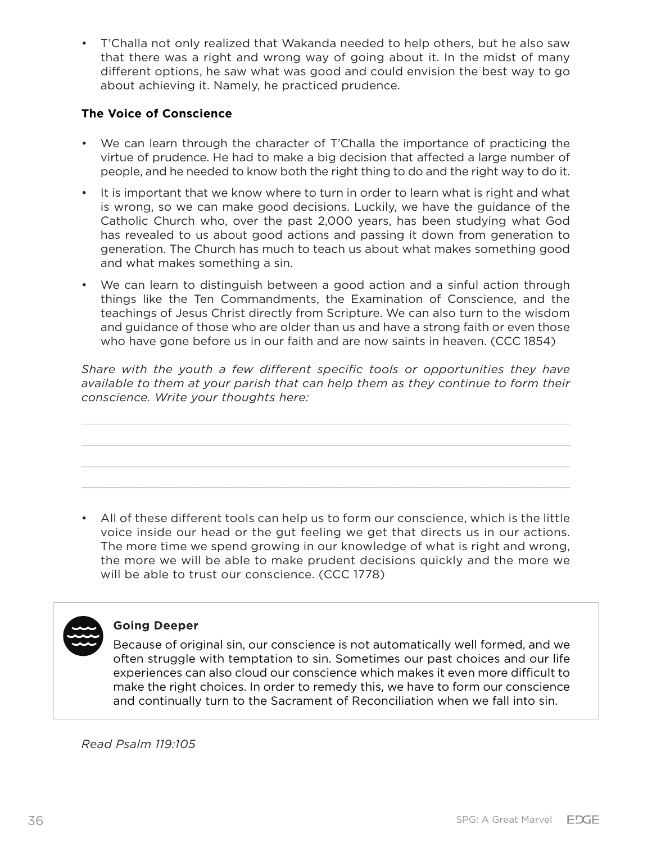• T'Challa not only realized that Wakanda needed to help others, but he also saw that there was a right and wrong way of going about it. In the midst of many different options, he saw what was good and could envision the best way to go about achieving it. Namely, he practiced prudence.

### **The Voice of Conscience**

- We can learn through the character of T'Challa the importance of practicing the virtue of prudence. He had to make a big decision that affected a large number of people, and he needed to know both the right thing to do and the right way to do it.
- It is important that we know where to turn in order to learn what is right and what is wrong, so we can make good decisions. Luckily, we have the guidance of the Catholic Church who, over the past 2,000 years, has been studying what God has revealed to us about good actions and passing it down from generation to generation. The Church has much to teach us about what makes something good and what makes something a sin.
- We can learn to distinguish between a good action and a sinful action through things like the Ten Commandments, the Examination of Conscience, and the teachings of Jesus Christ directly from Scripture. We can also turn to the wisdom and guidance of those who are older than us and have a strong faith or even those who have gone before us in our faith and are now saints in heaven. (CCC 1854)

*Share with the youth a few different specific tools or opportunities they have available to them at your parish that can help them as they continue to form their conscience. Write your thoughts here:*

• All of these different tools can help us to form our conscience, which is the little voice inside our head or the gut feeling we get that directs us in our actions. The more time we spend growing in our knowledge of what is right and wrong, the more we will be able to make prudent decisions quickly and the more we will be able to trust our conscience. (CCC 1778)



#### **Going Deeper**

Because of original sin, our conscience is not automatically well formed, and we often struggle with temptation to sin. Sometimes our past choices and our life experiences can also cloud our conscience which makes it even more difficult to make the right choices. In order to remedy this, we have to form our conscience and continually turn to the Sacrament of Reconciliation when we fall into sin.

*Read Psalm 119:105*